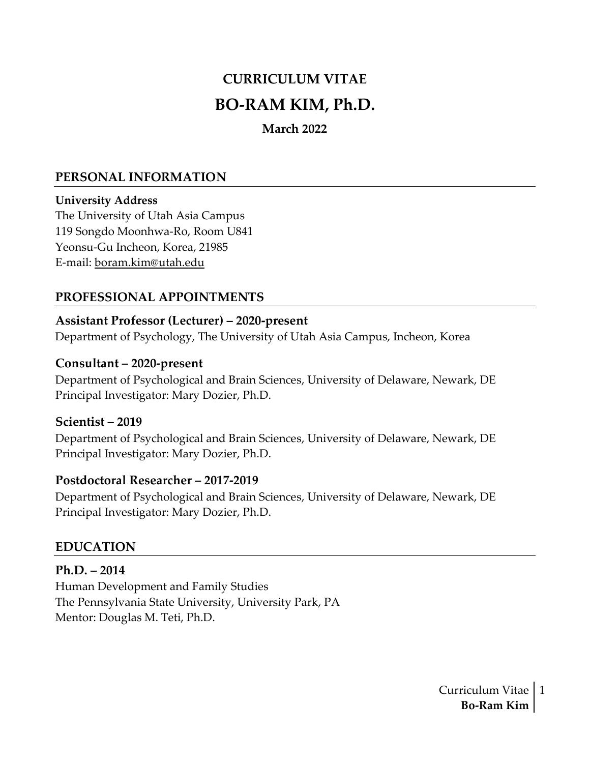# **CURRICULUM VITAE BO-RAM KIM, Ph.D.**

## **March 2022**

#### **PERSONAL INFORMATION**

#### **University Address**

The University of Utah Asia Campus 119 Songdo Moonhwa-Ro, Room U841 Yeonsu-Gu Incheon, Korea, 21985 E-mail: [boram.kim@utah.edu](mailto:boram.kim@utah.edu)

## **PROFESSIONAL APPOINTMENTS**

#### **Assistant Professor (Lecturer) – 2020-present**

Department of Psychology, The University of Utah Asia Campus, Incheon, Korea

#### **Consultant – 2020-present**

Department of Psychological and Brain Sciences, University of Delaware, Newark, DE Principal Investigator: Mary Dozier, Ph.D.

#### **Scientist – 2019**

Department of Psychological and Brain Sciences, University of Delaware, Newark, DE Principal Investigator: Mary Dozier, Ph.D.

#### **Postdoctoral Researcher – 2017-2019**

Department of Psychological and Brain Sciences, University of Delaware, Newark, DE Principal Investigator: Mary Dozier, Ph.D.

## **EDUCATION**

**Ph.D. – 2014** Human Development and Family Studies The Pennsylvania State University, University Park, PA

Mentor: Douglas M. Teti, Ph.D.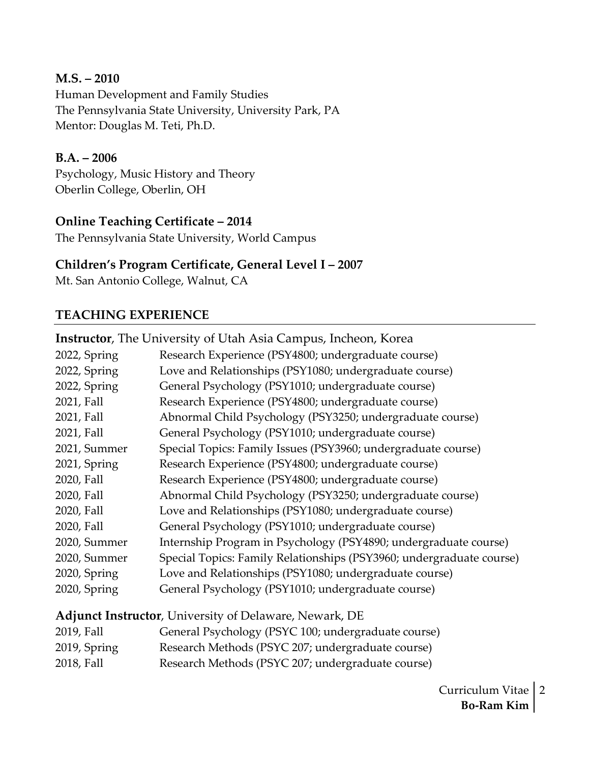#### **M.S. – 2010**

Human Development and Family Studies The Pennsylvania State University, University Park, PA Mentor: Douglas M. Teti, Ph.D.

## **B.A. – 2006**

Psychology, Music History and Theory Oberlin College, Oberlin, OH

## **Online Teaching Certificate – 2014**

The Pennsylvania State University, World Campus

## **Children's Program Certificate, General Level I – 2007**

Mt. San Antonio College, Walnut, CA

## **TEACHING EXPERIENCE**

|              | <b>Instructor</b> , The University of Utah Asia Campus, Incheon, Korea |
|--------------|------------------------------------------------------------------------|
| 2022, Spring | Research Experience (PSY4800; undergraduate course)                    |
| 2022, Spring | Love and Relationships (PSY1080; undergraduate course)                 |
| 2022, Spring | General Psychology (PSY1010; undergraduate course)                     |
| 2021, Fall   | Research Experience (PSY4800; undergraduate course)                    |
| 2021, Fall   | Abnormal Child Psychology (PSY3250; undergraduate course)              |
| 2021, Fall   | General Psychology (PSY1010; undergraduate course)                     |
| 2021, Summer | Special Topics: Family Issues (PSY3960; undergraduate course)          |
| 2021, Spring | Research Experience (PSY4800; undergraduate course)                    |
| 2020, Fall   | Research Experience (PSY4800; undergraduate course)                    |
| 2020, Fall   | Abnormal Child Psychology (PSY3250; undergraduate course)              |
| 2020, Fall   | Love and Relationships (PSY1080; undergraduate course)                 |
| 2020, Fall   | General Psychology (PSY1010; undergraduate course)                     |
| 2020, Summer | Internship Program in Psychology (PSY4890; undergraduate course)       |
| 2020, Summer | Special Topics: Family Relationships (PSY3960; undergraduate course)   |
| 2020, Spring | Love and Relationships (PSY1080; undergraduate course)                 |
| 2020, Spring | General Psychology (PSY1010; undergraduate course)                     |

**Adjunct Instructor**, University of Delaware, Newark, DE

| 2019, Fall   | General Psychology (PSYC 100; undergraduate course) |
|--------------|-----------------------------------------------------|
| 2019, Spring | Research Methods (PSYC 207; undergraduate course)   |
| 2018, Fall   | Research Methods (PSYC 207; undergraduate course)   |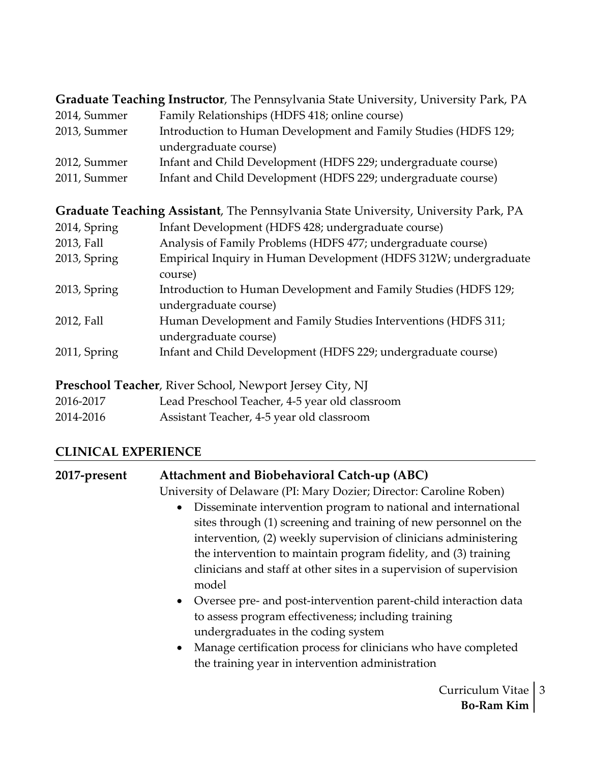**Graduate Teaching Instructor**, The Pennsylvania State University, University Park, PA

| 2014, Summer | Family Relationships (HDFS 418; online course)                  |
|--------------|-----------------------------------------------------------------|
| 2013, Summer | Introduction to Human Development and Family Studies (HDFS 129; |
|              | undergraduate course)                                           |
| 2012, Summer | Infant and Child Development (HDFS 229; undergraduate course)   |
| 2011, Summer | Infant and Child Development (HDFS 229; undergraduate course)   |

**Graduate Teaching Assistant**, The Pennsylvania State University, University Park, PA 2014, Spring Infant Development (HDFS 428; undergraduate course) 2013, Fall Analysis of Family Problems (HDFS 477; undergraduate course) 2013, Spring Empirical Inquiry in Human Development (HDFS 312W; undergraduate course) 2013, Spring Introduction to Human Development and Family Studies (HDFS 129; undergraduate course) 2012, Fall Human Development and Family Studies Interventions (HDFS 311; undergraduate course) 2011, Spring Infant and Child Development (HDFS 229; undergraduate course)

**Preschool Teacher**, River School, Newport Jersey City, NJ

| 2016-2017 | Lead Preschool Teacher, 4-5 year old classroom |
|-----------|------------------------------------------------|
|-----------|------------------------------------------------|

2014-2016 Assistant Teacher, 4-5 year old classroom

## **CLINICAL EXPERIENCE**

| 2017-present | Attachment and Biobehavioral Catch-up (ABC)                                                                                                                                                                                                                                                                                                                                                                                                                                                                                                                                                                    |
|--------------|----------------------------------------------------------------------------------------------------------------------------------------------------------------------------------------------------------------------------------------------------------------------------------------------------------------------------------------------------------------------------------------------------------------------------------------------------------------------------------------------------------------------------------------------------------------------------------------------------------------|
|              | University of Delaware (PI: Mary Dozier; Director: Caroline Roben)                                                                                                                                                                                                                                                                                                                                                                                                                                                                                                                                             |
|              | Disseminate intervention program to national and international<br>$\bullet$<br>sites through (1) screening and training of new personnel on the<br>intervention, (2) weekly supervision of clinicians administering<br>the intervention to maintain program fidelity, and (3) training<br>clinicians and staff at other sites in a supervision of supervision<br>model<br>• Oversee pre- and post-intervention parent-child interaction data<br>to assess program effectiveness; including training<br>undergraduates in the coding system<br>• Manage certification process for clinicians who have completed |
|              | the training year in intervention administration                                                                                                                                                                                                                                                                                                                                                                                                                                                                                                                                                               |
|              | Curriculum Vitae                                                                                                                                                                                                                                                                                                                                                                                                                                                                                                                                                                                               |

3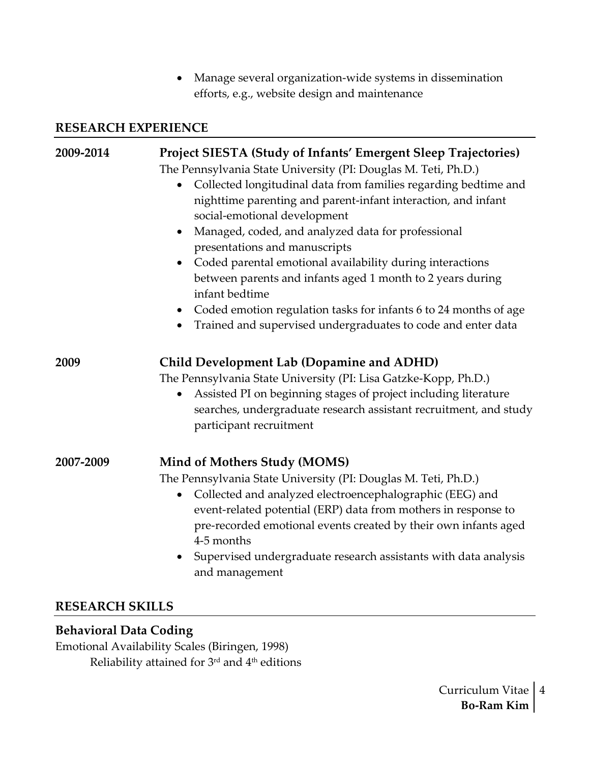• Manage several organization-wide systems in dissemination efforts, e.g., website design and maintenance

#### **RESEARCH EXPERIENCE**

| 2009-2014 | Project SIESTA (Study of Infants' Emergent Sleep Trajectories)<br>The Pennsylvania State University (PI: Douglas M. Teti, Ph.D.)<br>Collected longitudinal data from families regarding bedtime and<br>nighttime parenting and parent-infant interaction, and infant<br>social-emotional development<br>Managed, coded, and analyzed data for professional<br>$\bullet$<br>presentations and manuscripts<br>Coded parental emotional availability during interactions<br>between parents and infants aged 1 month to 2 years during<br>infant bedtime<br>• Coded emotion regulation tasks for infants 6 to 24 months of age<br>Trained and supervised undergraduates to code and enter data |
|-----------|---------------------------------------------------------------------------------------------------------------------------------------------------------------------------------------------------------------------------------------------------------------------------------------------------------------------------------------------------------------------------------------------------------------------------------------------------------------------------------------------------------------------------------------------------------------------------------------------------------------------------------------------------------------------------------------------|
| 2009      | <b>Child Development Lab (Dopamine and ADHD)</b><br>The Pennsylvania State University (PI: Lisa Gatzke-Kopp, Ph.D.)<br>Assisted PI on beginning stages of project including literature<br>$\bullet$<br>searches, undergraduate research assistant recruitment, and study<br>participant recruitment                                                                                                                                                                                                                                                                                                                                                                                         |
| 2007-2009 | <b>Mind of Mothers Study (MOMS)</b><br>The Pennsylvania State University (PI: Douglas M. Teti, Ph.D.)<br>Collected and analyzed electroencephalographic (EEG) and<br>$\bullet$<br>event-related potential (ERP) data from mothers in response to<br>pre-recorded emotional events created by their own infants aged<br>4-5 months<br>Supervised undergraduate research assistants with data analysis<br>and management                                                                                                                                                                                                                                                                      |

## **RESEARCH SKILLS**

## **Behavioral Data Coding**

Emotional Availability Scales (Biringen, 1998) Reliability attained for 3rd and 4th editions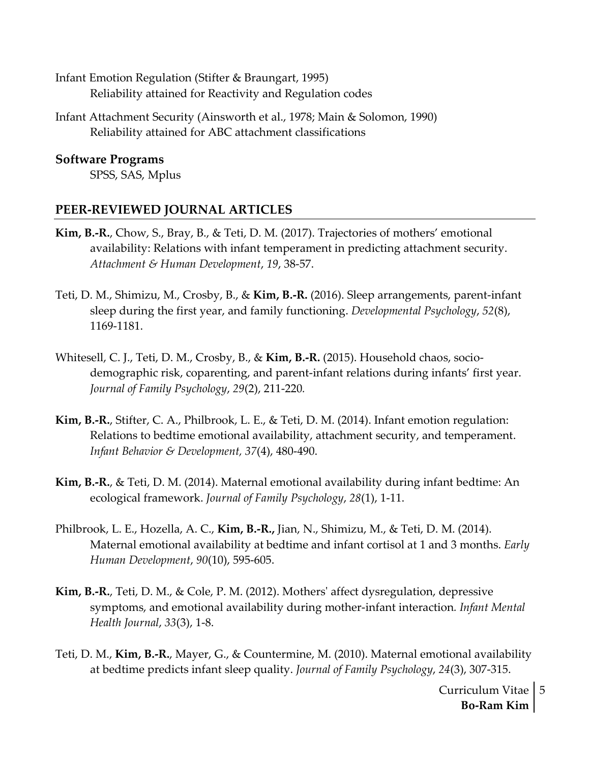Infant Emotion Regulation (Stifter & Braungart, 1995) Reliability attained for Reactivity and Regulation codes

Infant Attachment Security (Ainsworth et al., 1978; Main & Solomon, 1990) Reliability attained for ABC attachment classifications

**Software Programs** SPSS, SAS, Mplus

#### **PEER-REVIEWED JOURNAL ARTICLES**

- **Kim, B.-R.**, Chow, S., Bray, B., & Teti, D. M. (2017). Trajectories of mothers' emotional availability: Relations with infant temperament in predicting attachment security. *Attachment & Human Development*, *19*, 38-57.
- Teti, D. M., Shimizu, M., Crosby, B., & **Kim, B.-R.** (2016). Sleep arrangements, parent-infant sleep during the first year, and family functioning. *Developmental Psychology*, *52*(8), 1169-1181.
- Whitesell, C. J., Teti, D. M., Crosby, B., & **Kim, B.-R.** (2015). Household chaos, sociodemographic risk, coparenting, and parent-infant relations during infants' first year. *Journal of Family Psychology*, *29*(2), 211-220*.*
- **Kim, B.-R.**, Stifter, C. A., Philbrook, L. E., & Teti, D. M. (2014). Infant emotion regulation: Relations to bedtime emotional availability, attachment security, and temperament. *Infant Behavior & Development, 37*(4), 480-490.
- **Kim, B.-R.**, & Teti, D. M. (2014). Maternal emotional availability during infant bedtime: An ecological framework. *Journal of Family Psychology*, *28*(1), 1-11.
- Philbrook, L. E., Hozella, A. C., **Kim, B.-R.,** Jian, N., Shimizu, M., & Teti, D. M. (2014). Maternal emotional availability at bedtime and infant cortisol at 1 and 3 months. *Early Human Development*, *90*(10), 595-605.
- **Kim, B.-R.**, Teti, D. M., & Cole, P. M. (2012). Mothers' affect dysregulation, depressive symptoms, and emotional availability during mother-infant interaction*. Infant Mental Health Journal*, *33*(3), 1-8.
- Teti, D. M., **Kim, B.-R.**, Mayer, G., & Countermine, M. (2010). Maternal emotional availability at bedtime predicts infant sleep quality. *Journal of Family Psychology*, *24*(3), 307-315.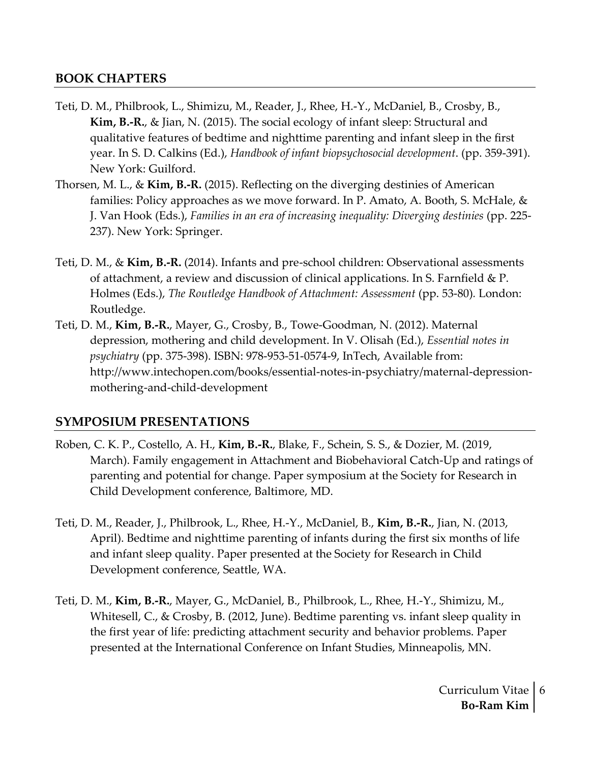## **BOOK CHAPTERS**

- Teti, D. M., Philbrook, L., Shimizu, M., Reader, J., Rhee, H.-Y., McDaniel, B., Crosby, B., **Kim, B.-R.**, & Jian, N. (2015). The social ecology of infant sleep: Structural and qualitative features of bedtime and nighttime parenting and infant sleep in the first year. In S. D. Calkins (Ed.), *Handbook of infant biopsychosocial development*. (pp. 359-391). New York: Guilford.
- Thorsen, M. L., & **Kim, B.-R.** (2015). Reflecting on the diverging destinies of American families: Policy approaches as we move forward. In P. Amato, A. Booth, S. McHale, & J. Van Hook (Eds.), *Families in an era of increasing inequality: Diverging destinies* (pp. 225- 237). New York: Springer.
- Teti, D. M., & **Kim, B.-R.** (2014). Infants and pre-school children: Observational assessments of attachment, a review and discussion of clinical applications. In S. Farnfield & P. Holmes (Eds.), *The Routledge Handbook of Attachment: Assessment* (pp. 53-80)*.* London: Routledge.
- Teti, D. M., **Kim, B.-R.**, Mayer, G., Crosby, B., Towe-Goodman, N. (2012). Maternal depression, mothering and child development. In V. Olisah (Ed.), *Essential notes in psychiatry* (pp. 375-398). ISBN: 978-953-51-0574-9, InTech, Available from: http://www.intechopen.com/books/essential-notes-in-psychiatry/maternal-depressionmothering-and-child-development

#### **SYMPOSIUM PRESENTATIONS**

- Roben, C. K. P., Costello, A. H., **Kim, B.-R.**, Blake, F., Schein, S. S., & Dozier, M. (2019, March). Family engagement in Attachment and Biobehavioral Catch-Up and ratings of parenting and potential for change. Paper symposium at the Society for Research in Child Development conference, Baltimore, MD.
- Teti, D. M., Reader, J., Philbrook, L., Rhee, H.-Y., McDaniel, B., **Kim, B.-R.**, Jian, N. (2013, April). Bedtime and nighttime parenting of infants during the first six months of life and infant sleep quality. Paper presented at the Society for Research in Child Development conference, Seattle, WA.
- Teti, D. M., **Kim, B.-R.**, Mayer, G., McDaniel, B., Philbrook, L., Rhee, H.-Y., Shimizu, M., Whitesell, C., & Crosby, B. (2012, June). Bedtime parenting vs. infant sleep quality in the first year of life: predicting attachment security and behavior problems. Paper presented at the International Conference on Infant Studies, Minneapolis, MN.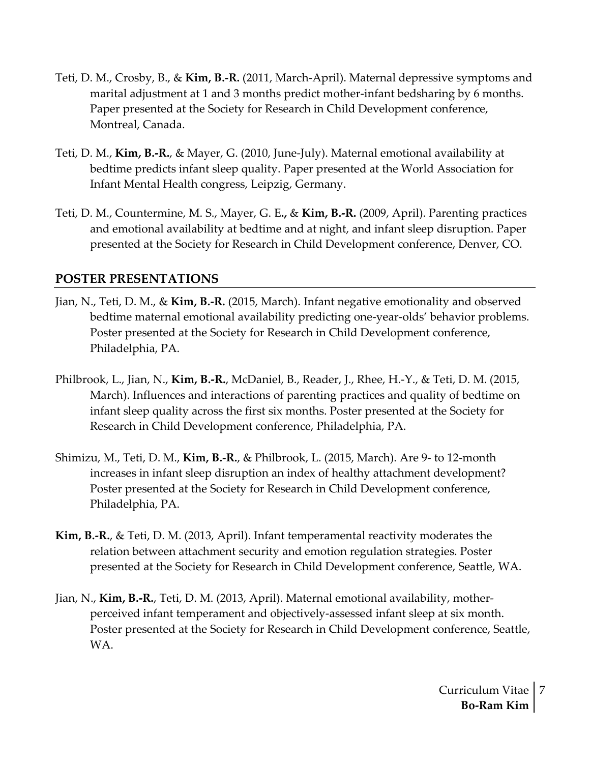- Teti, D. M., Crosby, B., & **Kim, B.-R.** (2011, March-April). Maternal depressive symptoms and marital adjustment at 1 and 3 months predict mother-infant bedsharing by 6 months. Paper presented at the Society for Research in Child Development conference, Montreal, Canada.
- Teti, D. M., **Kim, B.-R.**, & Mayer, G. (2010, June-July). Maternal emotional availability at bedtime predicts infant sleep quality. Paper presented at the World Association for Infant Mental Health congress, Leipzig, Germany.
- Teti, D. M., Countermine, M. S., Mayer, G. E**.,** & **Kim, B.-R.** (2009, April). Parenting practices and emotional availability at bedtime and at night, and infant sleep disruption. Paper presented at the Society for Research in Child Development conference, Denver, CO.

## **POSTER PRESENTATIONS**

- Jian, N., Teti, D. M., & **Kim, B.-R.** (2015, March). Infant negative emotionality and observed bedtime maternal emotional availability predicting one-year-olds' behavior problems. Poster presented at the Society for Research in Child Development conference, Philadelphia, PA.
- Philbrook, L., Jian, N., **Kim, B.-R.**, McDaniel, B., Reader, J., Rhee, H.-Y., & Teti, D. M. (2015, March). Influences and interactions of parenting practices and quality of bedtime on infant sleep quality across the first six months. Poster presented at the Society for Research in Child Development conference, Philadelphia, PA.
- Shimizu, M., Teti, D. M., **Kim, B.-R.**, & Philbrook, L. (2015, March). Are 9- to 12-month increases in infant sleep disruption an index of healthy attachment development? Poster presented at the Society for Research in Child Development conference, Philadelphia, PA.
- **Kim, B.-R.**, & Teti, D. M. (2013, April). Infant temperamental reactivity moderates the relation between attachment security and emotion regulation strategies. Poster presented at the Society for Research in Child Development conference, Seattle, WA.
- Jian, N., **Kim, B.-R.**, Teti, D. M. (2013, April). Maternal emotional availability, motherperceived infant temperament and objectively-assessed infant sleep at six month. Poster presented at the Society for Research in Child Development conference, Seattle, WA.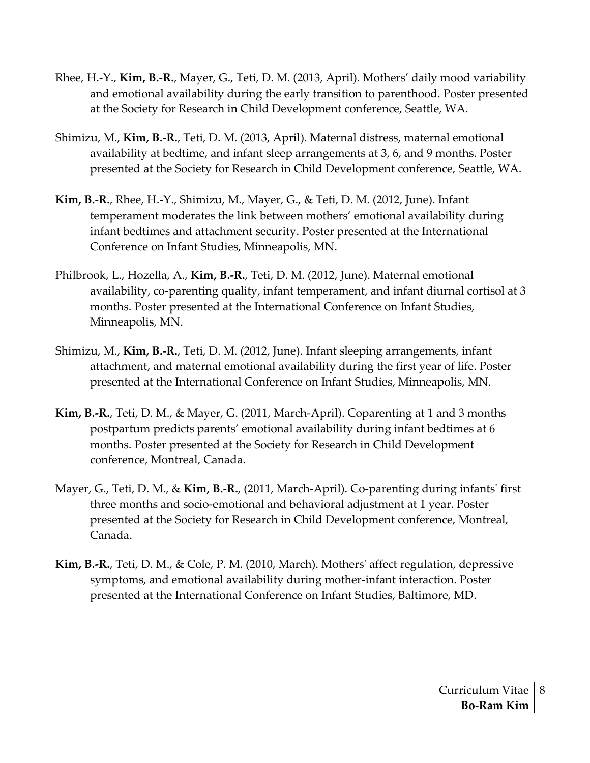- Rhee, H.-Y., **Kim, B.-R.**, Mayer, G., Teti, D. M. (2013, April). Mothers' daily mood variability and emotional availability during the early transition to parenthood. Poster presented at the Society for Research in Child Development conference, Seattle, WA.
- Shimizu, M., **Kim, B.-R.**, Teti, D. M. (2013, April). Maternal distress, maternal emotional availability at bedtime, and infant sleep arrangements at 3, 6, and 9 months. Poster presented at the Society for Research in Child Development conference, Seattle, WA.
- **Kim, B.-R.**, Rhee, H.-Y., Shimizu, M., Mayer, G., & Teti, D. M. (2012, June). Infant temperament moderates the link between mothers' emotional availability during infant bedtimes and attachment security. Poster presented at the International Conference on Infant Studies, Minneapolis, MN.
- Philbrook, L., Hozella, A., **Kim, B.-R.**, Teti, D. M. (2012, June). Maternal emotional availability, co-parenting quality, infant temperament, and infant diurnal cortisol at 3 months. Poster presented at the International Conference on Infant Studies, Minneapolis, MN.
- Shimizu, M., **Kim, B.-R.**, Teti, D. M. (2012, June). Infant sleeping arrangements, infant attachment, and maternal emotional availability during the first year of life. Poster presented at the International Conference on Infant Studies, Minneapolis, MN.
- **Kim, B.-R.**, Teti, D. M., & Mayer, G. (2011, March-April). Coparenting at 1 and 3 months postpartum predicts parents' emotional availability during infant bedtimes at 6 months. Poster presented at the Society for Research in Child Development conference, Montreal, Canada.
- Mayer, G., Teti, D. M., & **Kim, B.-R.**, (2011, March-April). Co-parenting during infants' first three months and socio-emotional and behavioral adjustment at 1 year. Poster presented at the Society for Research in Child Development conference, Montreal, Canada.
- **Kim, B.-R.**, Teti, D. M., & Cole, P. M. (2010, March). Mothers' affect regulation, depressive symptoms, and emotional availability during mother-infant interaction. Poster presented at the International Conference on Infant Studies, Baltimore, MD.